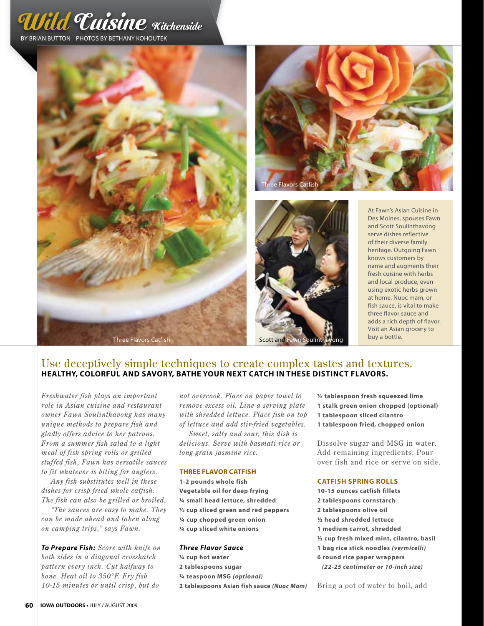







At Fawn's Asian Cuisine in Des Moines, spouses Fawn and Scott Soulinthavong serve dishes reflective of their diverse family heritage. Outgoing Fawn knows customers by name and augments their fresh cuisine with herbs and local produce, even using exotic herbs grown at home. Nuoc mam, or fish sauce, is vital to make three flavor sauce and adds a rich depth of flavor. Visit an Asian grocery to

# Use deceptively simple techniques to create complex tastes and textures. **Healthy, colorful and savory, bathe your next catch in these distinct flavors.**

*Freshwater fish plays an important role in Asian cuisine and restaurant owner Fawn Soulinthavong has many unique methods to prepare fish and gladly offers advice to her patrons. From a summer fish salad to a light meal of fish spring rolls or grilled stuffed fish, Fawn has versatile sauces to fit whatever is biting for anglers.* 

*Any fish substitutes well in these dishes for crisp fried whole catfish. The fish can also be grilled or broiled.* 

*"The sauces are easy to make. They can be made ahead and taken along on camping trips," says Fawn.* 

*To Prepare Fish: Score with knife on both sides in a diagonal crosshatch pattern every inch. Cut halfway to bone. Heat oil to 350°F. Fry fish 10-15 minutes or until crisp, but do* 

*not overcook. Place on paper towel to remove excess oil. Line a serving plate with shredded lettuce. Place fish on top of lettuce and add stir-fried vegetables.* 

*Sweet, salty and sour, this dish is delicious. Serve with basmati rice or long-grain jasmine rice.* 

#### **Three Flavor Catfish**

**1-2 pounds whole fish Vegetable oil for deep frying ¼ small head lettuce, shredded ½ cup sliced green and red peppers ¼ cup chopped green onion ¼ cup sliced white onions**

#### *Three Flavor Sauce*

**¼ cup hot water 2 tablespoons sugar ¼ teaspoon MSG** *(optional)* **2 tablespoons Asian fish sauce** *(Nuoc Mam)*

**½ tablespoon fresh squeezed lime 1 stalk green onion chopped (optional) 1 tablespoon sliced cilantro 1 tablespoon fried, chopped onion**

Dissolve sugar and MSG in water. Add remaining ingredients. Pour over fish and rice or serve on side.

## **Catfish Spring rolls**

**10-15 ounces catfish fillets 2 tablespoons cornstarch 2 tablespoons olive oil 1/2 head shredded lettuce 1 medium carrot, shredded 1/2 cup fresh mixed mint, cilantro, basil 1 bag rice stick noodles** *(vermicelli)* **6 round rice paper wrappers** *(22-25 centimeter or 10-inch size)*

Bring a pot of water to boil, add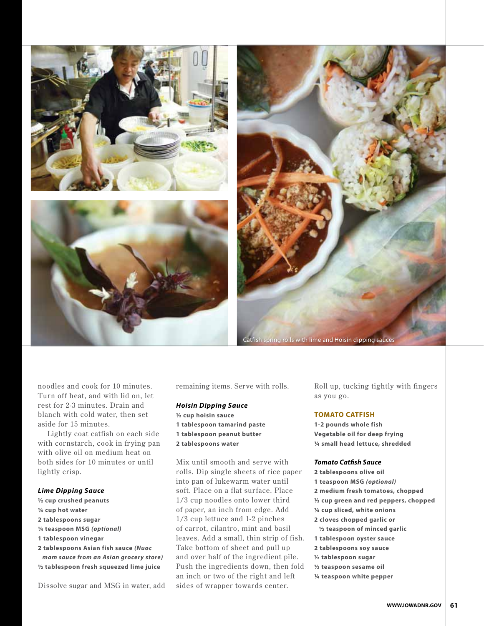



noodles and cook for 10 minutes. Turn off heat, and with lid on, let rest for 2-3 minutes. Drain and blanch with cold water, then set aside for 15 minutes.

Lightly coat catfish on each side with cornstarch, cook in frying pan with olive oil on medium heat on both sides for 10 minutes or until lightly crisp.

## *Lime Dipping Sauce*

- **1/2 cup crushed peanuts**
- **1/4 cup hot water**
- **2 tablespoons sugar**
- **1/4 teaspoon MSG** *(optional)*
- **1 tablespoon vinegar**
- **2 tablespoons Asian fish sauce** *(Nuoc mam sauce from an Asian grocery store)* **1/2 tablespoon fresh squeezed lime juice**

Dissolve sugar and MSG in water, add

remaining items. Serve with rolls.

# *Hoisin Dipping Sauce*

- **1/2 cup hoisin sauce**
- **1 tablespoon tamarind paste**
- **1 tablespoon peanut butter**
- **2 tablespoons water**

Mix until smooth and ser ve with rolls. Dip single sheets of rice paper into pan of lukewarm water until soft. Place on a flat sur face. Place 1/3 cup noodles onto lower third of paper, an inch from edge. Add 1/3 cup lettuce and 1-2 pinches of carrot, cilantro, mint and basil leaves. Add a small, thin strip of fish. Take bottom of sheet and pull up and over half of the ingredient pile. Push the ingredients down, then fold an inch or two of the right and left sides of wrapper towards center.

Roll up, tucking tightly with fingers as you go.

#### **Tomato Catfish**

**1-2 pounds whole fish Vegetable oil for deep frying ¼ small head lettuce, shredded**

#### *Tomato Catfish Sauce*

**2 tablespoons olive oil 1 teaspoon MSG** *(optional)* **2 medium fresh tomatoes, chopped ½ cup green and red peppers, chopped ¼ cup sliced, white onions 2 cloves chopped garlic or ½ teaspoon of minced garlic 1 tablespoon oyster sauce 2 tablespoons soy sauce ½ tablespoon sugar ½ teaspoon sesame oil ¼ teaspoon white pepper**